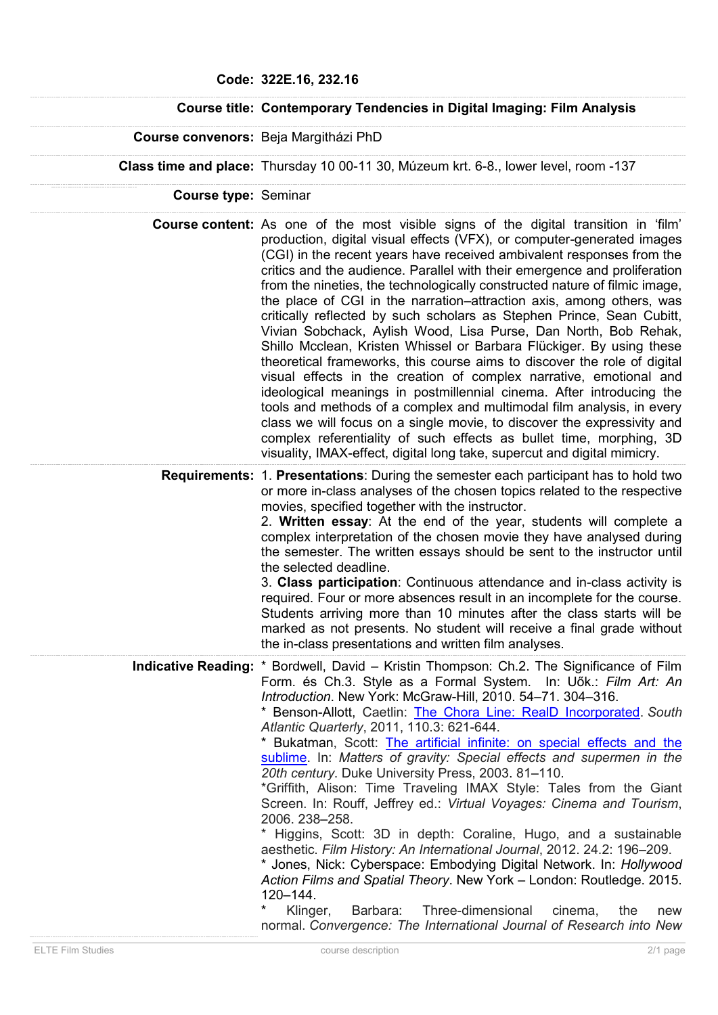## **Course title: Contemporary Tendencies in Digital Imaging: Film Analysis**

**Course convenors:** Beja Margitházi PhD

**Class time and place:** Thursday 10 00-11 30, Múzeum krt. 6-8., lower level, room -137

**Course type:** Seminar

**Course content:** As one of the most visible signs of the digital transition in 'film' production, digital visual effects (VFX), or computer-generated images (CGI) in the recent years have received ambivalent responses from the critics and the audience. Parallel with their emergence and proliferation from the nineties, the technologically constructed nature of filmic image, the place of CGI in the narration–attraction axis, among others, was critically reflected by such scholars as Stephen Prince, Sean Cubitt, Vivian Sobchack, Aylish Wood, Lisa Purse, Dan North, Bob Rehak, Shillo Mcclean, Kristen Whissel or Barbara Flückiger. By using these theoretical frameworks, this course aims to discover the role of digital visual effects in the creation of complex narrative, emotional and ideological meanings in postmillennial cinema. After introducing the tools and methods of a complex and multimodal film analysis, in every class we will focus on a single movie, to discover the expressivity and complex referentiality of such effects as bullet time, morphing, 3D visuality, IMAX-effect, digital long take, supercut and digital mimicry.

**Requirements:** 1. **Presentations**: During the semester each participant has to hold two or more in-class analyses of the chosen topics related to the respective movies, specified together with the instructor.

> 2. **Written essay**: At the end of the year, students will complete a complex interpretation of the chosen movie they have analysed during the semester. The written essays should be sent to the instructor until the selected deadline.

> 3. **Class participation**: Continuous attendance and in-class activity is required. Four or more absences result in an incomplete for the course. Students arriving more than 10 minutes after the class starts will be marked as not presents. No student will receive a final grade without the in-class presentations and written film analyses.

**Indicative Reading:** \* Bordwell, David – Kristin Thompson: Ch.2. The Significance of Film Form. és Ch.3. Style as a Formal System. In: Uők.: *Film Art: An Introduction*. New York: McGraw-Hill, 2010. 54–71. 304–316.

\* Benson-Allott, Caetlin: [The Chora Line: RealD Incorporated.](http://s3.amazonaws.com/academia.edu.documents/31655868/TheChoraLine.pdf?AWSAccessKeyId=AKIAJ56TQJRTWSMTNPEA&Expires=1472753352&Signature=LUA8wH55AXZhKbANMV0CY8IpVlQ%253D&response-content-disposition=inline%253B%20filename%253DThe_Chora_Line_RealD_Incorporated.pdf) *South Atlantic Quarterly*, 2011, 110.3: 621-644.

\* Bukatman, Scott: [The artificial infinite: on special effects and the](http://www4.ncsu.edu/unity/users/m/morillo/public/artint.pdf)  [sublime.](http://www4.ncsu.edu/unity/users/m/morillo/public/artint.pdf) In: *Matters of gravity: Special effects and supermen in the 20th century*. Duke University Press, 2003. 81–110.

\*Griffith, Alison: Time Traveling IMAX Style: Tales from the Giant Screen. In: Rouff, Jeffrey ed.: *Virtual Voyages: Cinema and Tourism*, 2006. 238–258.

\* Higgins, Scott: 3D in depth: Coraline, Hugo, and a sustainable aesthetic. *Film History: An International Journal*, 2012. 24.2: 196–209.

\* Jones, Nick: Cyberspace: Embodying Digital Network. In: *Hollywood Action Films and Spatial Theory*. New York – London: Routledge. 2015. 120–144.

Klinger, Barbara: Three-dimensional cinema, the new normal. *Convergence: The International Journal of Research into New*